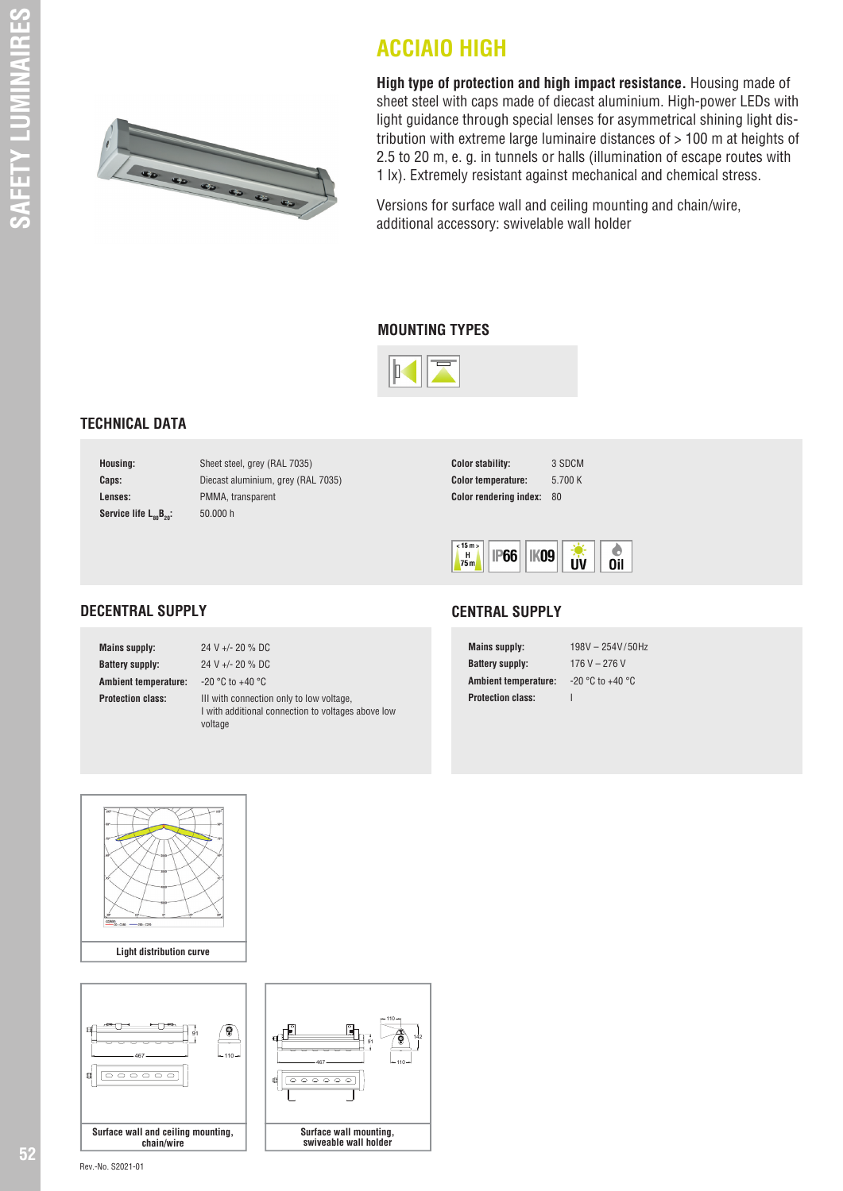

**High type of protection and high impact resistance.** Housing made of sheet steel with caps made of diecast aluminium. High-power LEDs with light guidance through special lenses for asymmetrical shining light distribution with extreme large luminaire distances of > 100 m at heights of 2.5 to 20 m, e. g. in tunnels or halls (illumination of escape routes with 1 lx). Extremely resistant against mechanical and chemical stress.

Versions for surface wall and ceiling mounting and chain/wire, additional accessory: swivelable wall holder

#### **MOUNTING TYPES**

**ACCIAIO HIGH**



## **TECHNICAL DATA**

| Housing:                                       |  |
|------------------------------------------------|--|
| Caps:                                          |  |
| Lenses:                                        |  |
| Service life L <sub>oo</sub> B <sub>20</sub> : |  |

Sheet steel, grey (RAL 7035) **Caps:** Diecast aluminium, grey (RAL 7035) **Lenses:** PMMA, transparent 50.000 h

| <b>Color stability:</b>       | 3 SDCM  |
|-------------------------------|---------|
| <b>Color temperature:</b>     | 5.700 K |
| <b>Color rendering index:</b> | 80      |



## **DECENTRAL SUPPLY**

| <b>Mains supply:</b>        | 24 V +/- 20 % DC                                                                                          |
|-----------------------------|-----------------------------------------------------------------------------------------------------------|
| <b>Battery supply:</b>      | 24 V +/- 20 % DC                                                                                          |
| <b>Ambient temperature:</b> | $-20$ °C to $+40$ °C                                                                                      |
| <b>Protection class:</b>    | III with connection only to low voltage,<br>I with additional connection to voltages above low<br>voltage |

### **CENTRAL SUPPLY**

| <b>Mains supply:</b>        | 198V - 254V/50Hz     |
|-----------------------------|----------------------|
| <b>Battery supply:</b>      | 176 V $-$ 276 V      |
| <b>Ambient temperature:</b> | $-20 °C$ to $+40 °C$ |
| <b>Protection class:</b>    |                      |